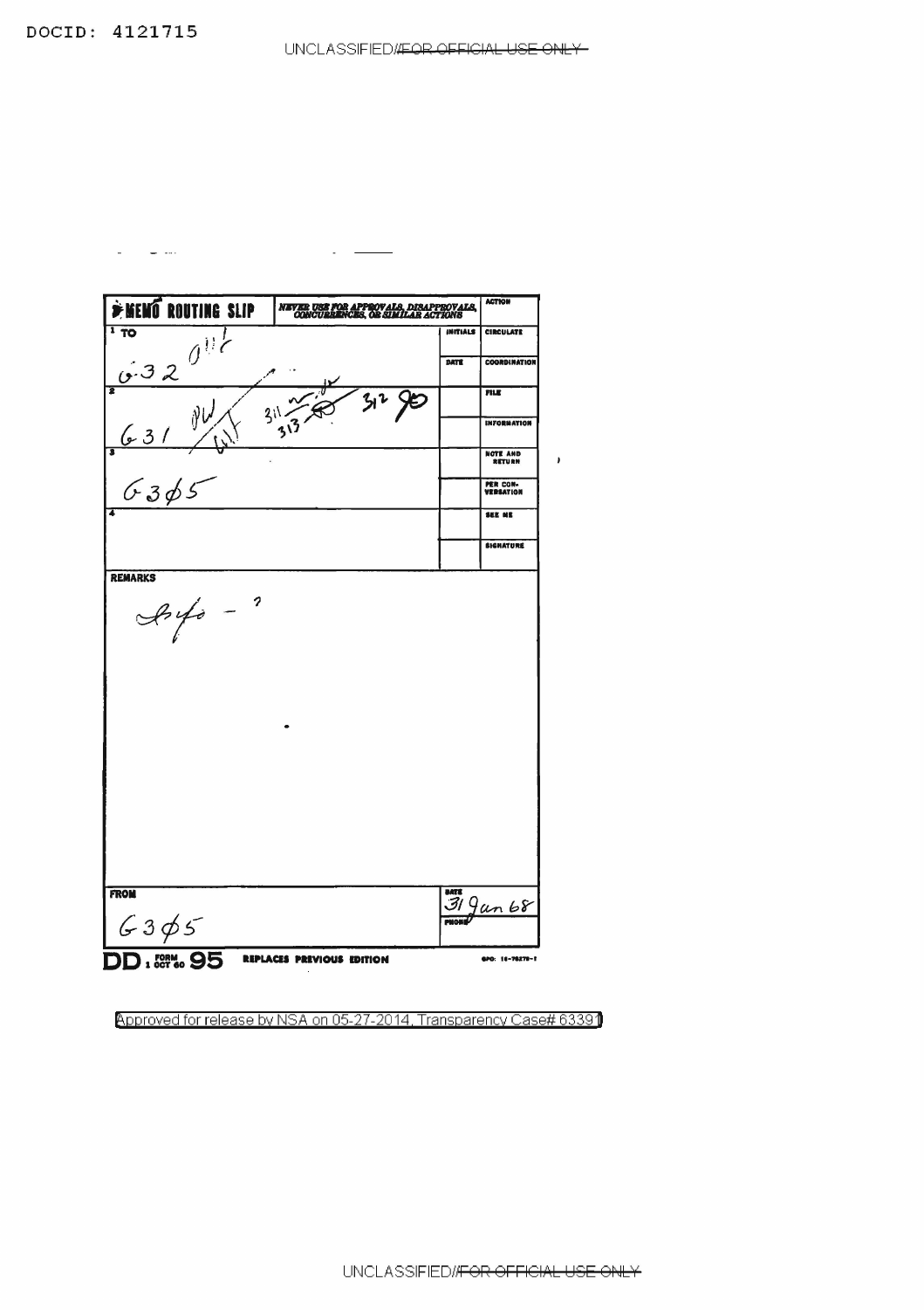$\omega_{\rm{max}}$  and  $\omega_{\rm{max}}$ 

| <b>EXEMP ROUTING SLIP</b><br>1T0 | NEVER USE FOR APPROVALS, DISAPPROVALS,<br>CONCURRENCES, OR SIMILAR ACTIONS | <b>ACTION</b>                    |
|----------------------------------|----------------------------------------------------------------------------|----------------------------------|
|                                  |                                                                            | INITIALS<br><b>CIRCULATE</b>     |
| 6.320                            | DATE                                                                       | <b>COORDINATION</b>              |
|                                  |                                                                            | <b>FILE</b>                      |
| 31<br>$\frac{1}{2}$ 3 1          |                                                                            | <b>INFORMATION</b>               |
| 6365                             |                                                                            | <b>NOTE AND</b><br><b>RETURN</b> |
|                                  |                                                                            | PER CON-<br>VERSATION            |
| 7                                |                                                                            | SEE NE                           |
|                                  |                                                                            | <b>SIGNATURE</b>                 |
|                                  |                                                                            |                                  |
|                                  |                                                                            |                                  |
| <b>FROM</b><br>6305              | DATE<br><b>PNONE</b>                                                       | $319$ un 68                      |

 $\sim$   $-$ 

Approved for release by NSA on 05-27-2014, Transparency Case# 63391

UNCLASSIFIED//FOR OFFICIAL USE ONLY